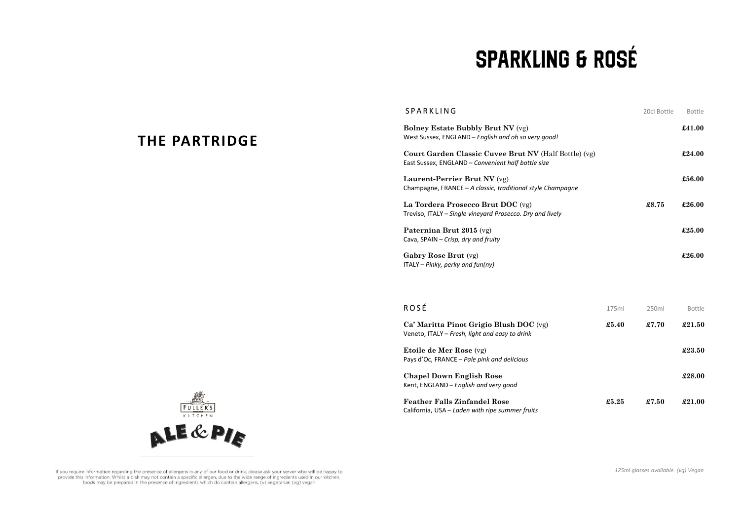## **SPARKLING & ROSÉ**

| SPARKLING                                                                                                   | 20cl Bottle | <b>Bottle</b> |
|-------------------------------------------------------------------------------------------------------------|-------------|---------------|
| <b>Bolney Estate Bubbly Brut NV (vg)</b><br>West Sussex, ENGLAND - English and oh so very good!             |             | £41.00        |
| Court Garden Classic Cuvee Brut NV (Half Bottle) (vg)<br>East Sussex, ENGLAND - Convenient half bottle size |             | £24.00        |
| Laurent-Perrier Brut NV (vg)<br>Champagne, FRANCE – A classic, traditional style Champagne                  |             | £56.00        |
| La Tordera Prosecco Brut DOC (vg)<br>Treviso, ITALY – Single vineyard Prosecco. Dry and lively              | £8.75       | £26.00        |
| Paternina Brut 2015 (vg)<br>Cava, SPAIN – Crisp, dry and fruity                                             |             | £25.00        |
| Gabry Rose Brut (vg)<br>$ITALY - Pinky, perky and fun(ny)$                                                  |             | £26.00        |

| <b>ROSÉ</b>                                                                               | 175ml | 250ml | <b>Bottle</b> |
|-------------------------------------------------------------------------------------------|-------|-------|---------------|
| Ca' Maritta Pinot Grigio Blush DOC (vg)<br>Veneto, ITALY - Fresh, light and easy to drink | £5.40 | £7.70 | £21.50        |
| <b>Etoile de Mer Rose</b> (vg)<br>Pays d'Oc, FRANCE – Pale pink and delicious             |       |       | £23.50        |
| <b>Chapel Down English Rose</b><br>Kent, ENGLAND - English and very good                  |       |       | £28.00        |
| <b>Feather Falls Zinfandel Rose</b><br>California, USA – Laden with ripe summer fruits    | £5.25 | £7.50 | £21.00        |



**THE PARTRIDGE**

If you require information regarding the presence of allergens in any of our food or drink, please ask your server who will be happy to provide this information. Whilst a dish may not contain a specific allergen, due to the wide range of ingredients used in our kitchen, foods may be prepared in the presence of ingredients which do contain allergens. (v) vegetarian (vg) vegan

*125ml glasses available. (vg) Vegan*